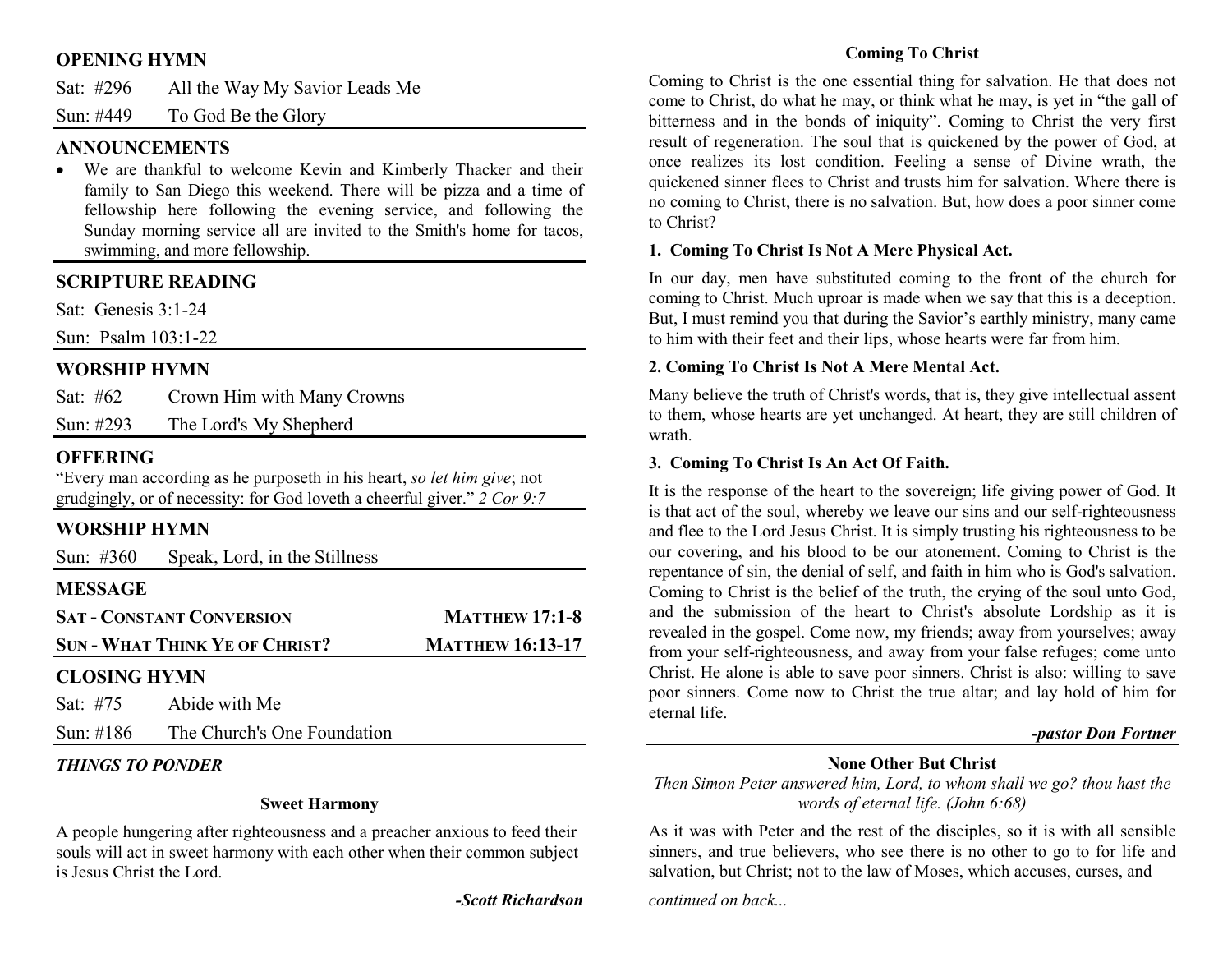## **OPENING HYMN**

| Sat: #296 | All the Way My Savior Leads Me |  |
|-----------|--------------------------------|--|
|           |                                |  |

Sun: #449 To God Be the Glory

## **ANNOUNCEMENTS**

 • We are thankful to welcome Kevin and Kimberly Thacker and their family to San Diego this weekend. There will be pizza and a time of fellowship here following the evening service, and following the Sunday morning service all are invited to the Smith's home for tacos, swimming, and more fellowship.

## **SCRIPTURE READING**

Sat: Genesis 3:1-24

Sun: Psalm 103:1-22

## **WORSHIP HYMN**

| Sat: #62     | Crown Him with Many Crowns |
|--------------|----------------------------|
| Sun: $\#293$ | The Lord's My Shepherd     |

## **OFFERING**

 "Every man according as he purposeth in his heart, *so let him give*; not grudgingly, or of necessity: for God loveth a cheerful giver." *2 Cor 9:7*

## **WORSHIP HYMN**

| Sun: $\#360$        | Speak, Lord, in the Stillness         |                         |  |
|---------------------|---------------------------------------|-------------------------|--|
| <b>MESSAGE</b>      |                                       |                         |  |
|                     | <b>SAT - CONSTANT CONVERSION</b>      | <b>MATTHEW 17:1-8</b>   |  |
|                     | <b>SUN - WHAT THINK YE OF CHRIST?</b> | <b>MATTHEW 16:13-17</b> |  |
| <b>CLOSING HYMN</b> |                                       |                         |  |
| Sat: #75            | Abide with Me                         |                         |  |

Sun: #186 The Church's One Foundation

## *THINGS TO PONDER*

#### **Sweet Harmony**

A people hungering after righteousness and a preacher anxious to feed their souls will act in sweet harmony with each other when their common subject is Jesus Christ the Lord.

*-Scott Richardson* 

## **Coming To Christ**

Coming to Christ is the one essential thing for salvation. He that does not come to Christ, do what he may, or think what he may, is yet in "the gall of bitterness and in the bonds of iniquity". Coming to Christ the very first result of regeneration. The soul that is quickened by the power of God, at once realizes its lost condition. Feeling a sense of Divine wrath, the quickened sinner flees to Christ and trusts him for salvation. Where there is no coming to Christ, there is no salvation. But, how does a poor sinner come to Christ?

### **1. Coming To Christ Is Not A Mere Physical Act.**

In our day, men have substituted coming to the front of the church for coming to Christ. Much uproar is made when we say that this is a deception. But, I must remind you that during the Savior's earthly ministry, many came to him with their feet and their lips, whose hearts were far from him.

### **2. Coming To Christ Is Not A Mere Mental Act.**

Many believe the truth of Christ's words, that is, they give intellectual assent to them, whose hearts are yet unchanged. At heart, they are still children of wrath.

### **3. Coming To Christ Is An Act Of Faith.**

It is the response of the heart to the sovereign; life giving power of God. It is that act of the soul, whereby we leave our sins and our self-righteousness and flee to the Lord Jesus Christ. It is simply trusting his righteousness to be our covering, and his blood to be our atonement. Coming to Christ is the repentance of sin, the denial of self, and faith in him who is God's salvation. Coming to Christ is the belief of the truth, the crying of the soul unto God, and the submission of the heart to Christ's absolute Lordship as it is revealed in the gospel. Come now, my friends; away from yourselves; away from your self-righteousness, and away from your false refuges; come unto Christ. He alone is able to save poor sinners. Christ is also: willing to save poor sinners. Come now to Christ the true altar; and lay hold of him for eternal life.

#### *-pastor Don Fortner*

## **None Other But Christ**

 *Then Simon Peter answered him, Lord, to whom shall we go? thou hast the words of eternal life. (John 6:68)* 

As it was with Peter and the rest of the disciples, so it is with all sensible sinners, and true believers, who see there is no other to go to for life and salvation, but Christ; not to the law of Moses, which accuses, curses, and

*continued on back...*